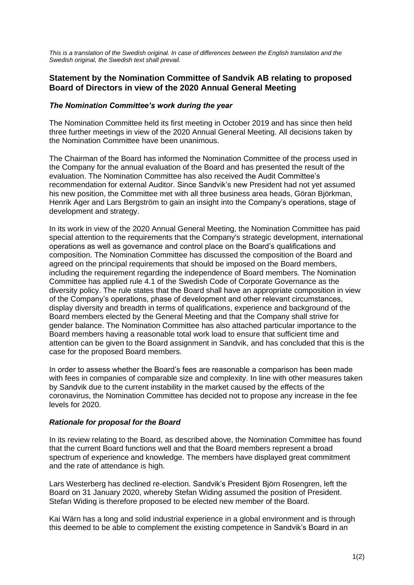*This is a translation of the Swedish original. In case of differences between the English translation and the Swedish original, the Swedish text shall prevail.*

## **Statement by the Nomination Committee of Sandvik AB relating to proposed Board of Directors in view of the 2020 Annual General Meeting**

## *The Nomination Committee's work during the year*

The Nomination Committee held its first meeting in October 2019 and has since then held three further meetings in view of the 2020 Annual General Meeting. All decisions taken by the Nomination Committee have been unanimous.

The Chairman of the Board has informed the Nomination Committee of the process used in the Company for the annual evaluation of the Board and has presented the result of the evaluation. The Nomination Committee has also received the Audit Committee's recommendation for external Auditor. Since Sandvik's new President had not yet assumed his new position, the Committee met with all three business area heads, Göran Björkman, Henrik Ager and Lars Bergström to gain an insight into the Company's operations, stage of development and strategy.

In its work in view of the 2020 Annual General Meeting, the Nomination Committee has paid special attention to the requirements that the Company's strategic development, international operations as well as governance and control place on the Board's qualifications and composition. The Nomination Committee has discussed the composition of the Board and agreed on the principal requirements that should be imposed on the Board members, including the requirement regarding the independence of Board members. The Nomination Committee has applied rule 4.1 of the Swedish Code of Corporate Governance as the diversity policy. The rule states that the Board shall have an appropriate composition in view of the Company's operations, phase of development and other relevant circumstances, display diversity and breadth in terms of qualifications, experience and background of the Board members elected by the General Meeting and that the Company shall strive for gender balance. The Nomination Committee has also attached particular importance to the Board members having a reasonable total work load to ensure that sufficient time and attention can be given to the Board assignment in Sandvik, and has concluded that this is the case for the proposed Board members.

In order to assess whether the Board's fees are reasonable a comparison has been made with fees in companies of comparable size and complexity. In line with other measures taken by Sandvik due to the current instability in the market caused by the effects of the coronavirus, the Nomination Committee has decided not to propose any increase in the fee levels for 2020.

## *Rationale for proposal for the Board*

In its review relating to the Board, as described above, the Nomination Committee has found that the current Board functions well and that the Board members represent a broad spectrum of experience and knowledge. The members have displayed great commitment and the rate of attendance is high.

Lars Westerberg has declined re-election. Sandvik's President Björn Rosengren, left the Board on 31 January 2020, whereby Stefan Widing assumed the position of President. Stefan Widing is therefore proposed to be elected new member of the Board.

Kai Wärn has a long and solid industrial experience in a global environment and is through this deemed to be able to complement the existing competence in Sandvik's Board in an